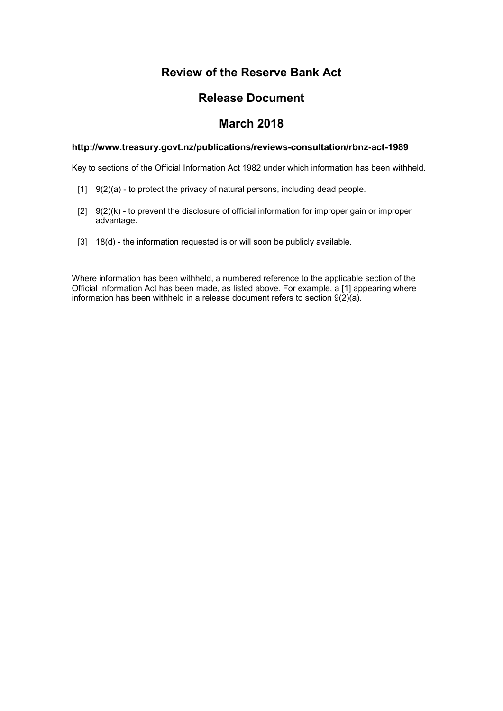# **Review of the Reserve Bank Act**

## **Release Document**

## **March 2018**

#### **http://www.treasury.govt.nz/publications/reviews-consultation/rbnz-act-1989**

Key to sections of the Official Information Act 1982 under which information has been withheld.

- $[1]$  9(2)(a) to protect the privacy of natural persons, including dead people.
- $[2]$  9(2)(k) to prevent the disclosure of official information for improper gain or improper advantage.
- [3] 18(d) the information requested is or will soon be publicly available.

Where information has been withheld, a numbered reference to the applicable section of the Official Information Act has been made, as listed above. For example, a [1] appearing where information has been withheld in a release document refers to section  $9(2)(a)$ .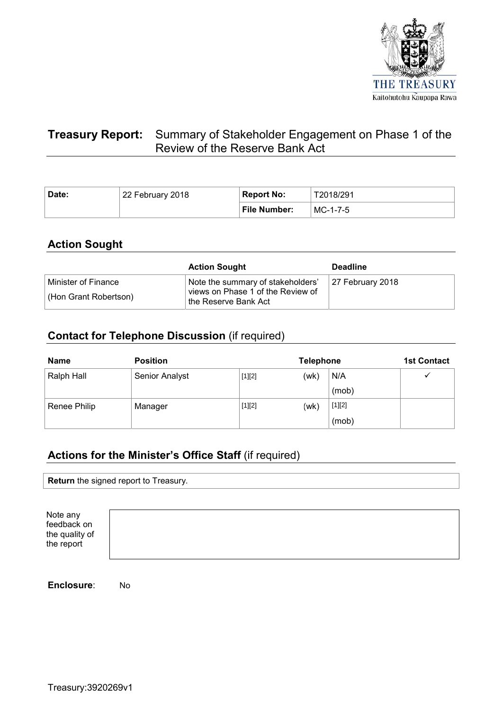

# **Treasury Report:** Summary of Stakeholder Engagement on Phase 1 of the Review of the Reserve Bank Act

| Date: | 22 February 2018 | <b>Report No:</b> | T2018/291  |
|-------|------------------|-------------------|------------|
|       |                  | File Number:      | $MC-1-7-5$ |

## **Action Sought**

|                                              | <b>Action Sought</b>                                                                                         | <b>Deadline</b>  |
|----------------------------------------------|--------------------------------------------------------------------------------------------------------------|------------------|
| Minister of Finance<br>(Hon Grant Robertson) | Note the summary of stakeholders'<br>views on Phase 1 of the Review of<br><sup>∣</sup> the Reserve Bank Act_ | 27 February 2018 |

## **Contact for Telephone Discussion** (if required)

| <b>Name</b>  | <b>Position</b>       | <b>Telephone</b> |      |          | <b>1st Contact</b> |
|--------------|-----------------------|------------------|------|----------|--------------------|
| Ralph Hall   | <b>Senior Analyst</b> | $[1][2]$         | (wk) | N/A      |                    |
|              |                       |                  |      | (mob)    |                    |
| Renee Philip | Manager               | $[1][2]$         | (wk) | $[1][2]$ |                    |
|              |                       |                  |      | (mob)    |                    |

# **Actions for the Minister's Office Staff** (if required)

**Return** the signed report to Treasury.

Note any feedback on the quality of the report



**Enclosure**: No

Treasury:3920269v1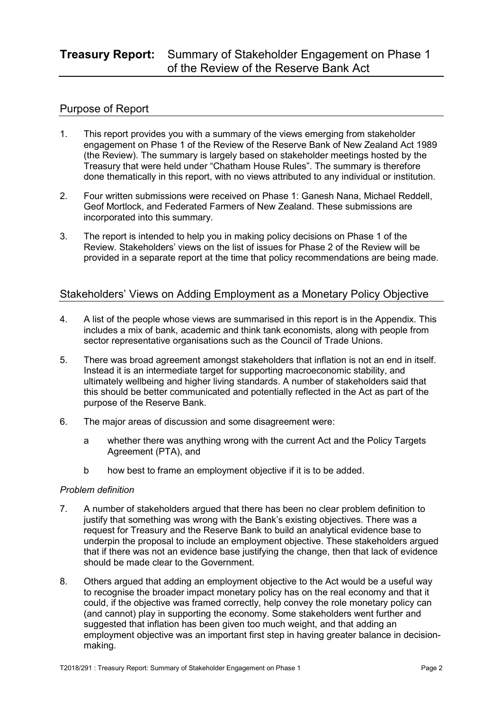## **Treasury Report:** Summary of Stakeholder Engagement on Phase 1 of the Review of the Reserve Bank Act

### Purpose of Report

- 1. This report provides you with a summary of the views emerging from stakeholder engagement on Phase 1 of the Review of the Reserve Bank of New Zealand Act 1989 (the Review). The summary is largely based on stakeholder meetings hosted by the Treasury that were held under "Chatham House Rules". The summary is therefore done thematically in this report, with no views attributed to any individual or institution.
- 2. Four written submissions were received on Phase 1: Ganesh Nana, Michael Reddell, Geof Mortlock, and Federated Farmers of New Zealand. These submissions are incorporated into this summary.
- 3. The report is intended to help you in making policy decisions on Phase 1 of the Review. Stakeholders' views on the list of issues for Phase 2 of the Review will be provided in a separate report at the time that policy recommendations are being made.

### Stakeholders' Views on Adding Employment as a Monetary Policy Objective

- 4. A list of the people whose views are summarised in this report is in the Appendix. This includes a mix of bank, academic and think tank economists, along with people from sector representative organisations such as the Council of Trade Unions.
- 5. There was broad agreement amongst stakeholders that inflation is not an end in itself. Instead it is an intermediate target for supporting macroeconomic stability, and ultimately wellbeing and higher living standards. A number of stakeholders said that this should be better communicated and potentially reflected in the Act as part of the purpose of the Reserve Bank.
- 6. The major areas of discussion and some disagreement were:
	- a whether there was anything wrong with the current Act and the Policy Targets Agreement (PTA), and
	- b how best to frame an employment objective if it is to be added.

#### *Problem definition*

- 7. A number of stakeholders argued that there has been no clear problem definition to justify that something was wrong with the Bank's existing objectives. There was a request for Treasury and the Reserve Bank to build an analytical evidence base to underpin the proposal to include an employment objective. These stakeholders argued that if there was not an evidence base justifying the change, then that lack of evidence should be made clear to the Government.
- 8. Others argued that adding an employment objective to the Act would be a useful way to recognise the broader impact monetary policy has on the real economy and that it could, if the objective was framed correctly, help convey the role monetary policy can (and cannot) play in supporting the economy. Some stakeholders went further and suggested that inflation has been given too much weight, and that adding an employment objective was an important first step in having greater balance in decisionmaking.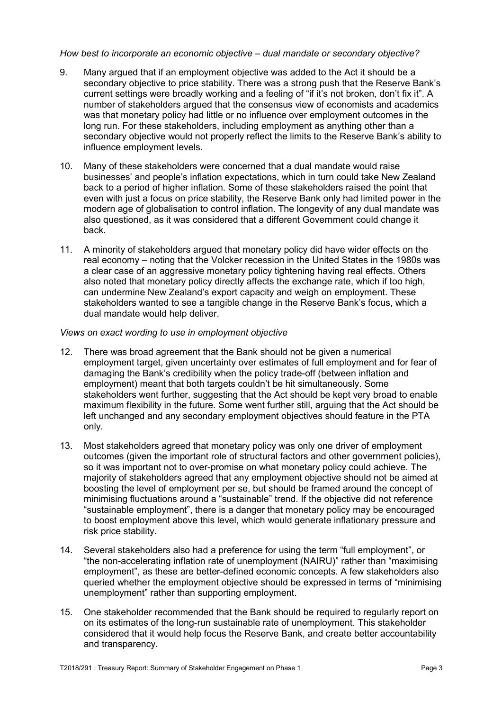#### *How best to incorporate an economic objective – dual mandate or secondary objective?*

- 9. Many argued that if an employment objective was added to the Act it should be a secondary objective to price stability. There was a strong push that the Reserve Bank's current settings were broadly working and a feeling of "if it's not broken, don't fix it". A number of stakeholders argued that the consensus view of economists and academics was that monetary policy had little or no influence over employment outcomes in the long run. For these stakeholders, including employment as anything other than a secondary objective would not properly reflect the limits to the Reserve Bank's ability to influence employment levels.
- 10. Many of these stakeholders were concerned that a dual mandate would raise businesses' and people's inflation expectations, which in turn could take New Zealand back to a period of higher inflation. Some of these stakeholders raised the point that even with just a focus on price stability, the Reserve Bank only had limited power in the modern age of globalisation to control inflation. The longevity of any dual mandate was also questioned, as it was considered that a different Government could change it back.
- 11. A minority of stakeholders argued that monetary policy did have wider effects on the real economy – noting that the Volcker recession in the United States in the 1980s was a clear case of an aggressive monetary policy tightening having real effects. Others also noted that monetary policy directly affects the exchange rate, which if too high, can undermine New Zealand's export capacity and weigh on employment. These stakeholders wanted to see a tangible change in the Reserve Bank's focus, which a dual mandate would help deliver.

#### *Views on exact wording to use in employment objective*

- 12. There was broad agreement that the Bank should not be given a numerical employment target, given uncertainty over estimates of full employment and for fear of damaging the Bank's credibility when the policy trade-off (between inflation and employment) meant that both targets couldn't be hit simultaneously. Some stakeholders went further, suggesting that the Act should be kept very broad to enable maximum flexibility in the future. Some went further still, arguing that the Act should be left unchanged and any secondary employment objectives should feature in the PTA only.
- 13. Most stakeholders agreed that monetary policy was only one driver of employment outcomes (given the important role of structural factors and other government policies), so it was important not to over-promise on what monetary policy could achieve. The majority of stakeholders agreed that any employment objective should not be aimed at boosting the level of employment per se, but should be framed around the concept of minimising fluctuations around a "sustainable" trend. If the objective did not reference "sustainable employment", there is a danger that monetary policy may be encouraged to boost employment above this level, which would generate inflationary pressure and risk price stability.
- 14. Several stakeholders also had a preference for using the term "full employment", or "the non-accelerating inflation rate of unemployment (NAIRU)" rather than "maximising employment", as these are better-defined economic concepts. A few stakeholders also queried whether the employment objective should be expressed in terms of "minimising unemployment" rather than supporting employment.
- 15. One stakeholder recommended that the Bank should be required to regularly report on on its estimates of the long-run sustainable rate of unemployment. This stakeholder considered that it would help focus the Reserve Bank, and create better accountability and transparency.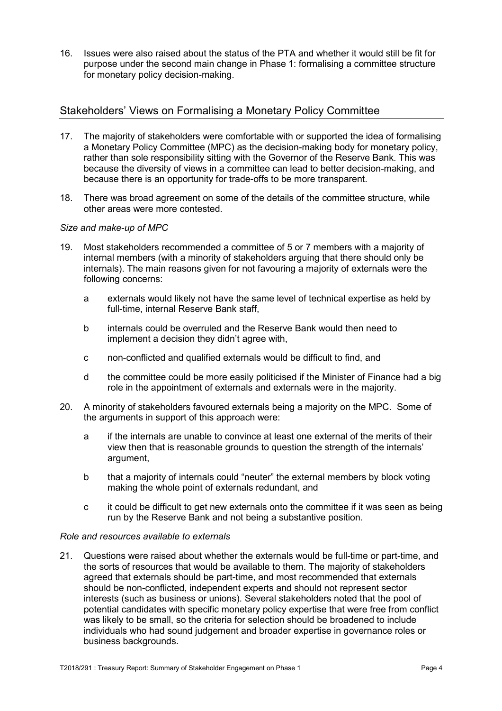16. Issues were also raised about the status of the PTA and whether it would still be fit for purpose under the second main change in Phase 1: formalising a committee structure for monetary policy decision-making.

### Stakeholders' Views on Formalising a Monetary Policy Committee

- 17. The majority of stakeholders were comfortable with or supported the idea of formalising a Monetary Policy Committee (MPC) as the decision-making body for monetary policy, rather than sole responsibility sitting with the Governor of the Reserve Bank. This was because the diversity of views in a committee can lead to better decision-making, and because there is an opportunity for trade-offs to be more transparent.
- 18. There was broad agreement on some of the details of the committee structure, while other areas were more contested.

#### *Size and make-up of MPC*

- 19. Most stakeholders recommended a committee of 5 or 7 members with a majority of internal members (with a minority of stakeholders arguing that there should only be internals). The main reasons given for not favouring a majority of externals were the following concerns:
	- a externals would likely not have the same level of technical expertise as held by full-time, internal Reserve Bank staff,
	- b internals could be overruled and the Reserve Bank would then need to implement a decision they didn't agree with,
	- c non-conflicted and qualified externals would be difficult to find, and
	- d the committee could be more easily politicised if the Minister of Finance had a big role in the appointment of externals and externals were in the majority.
- 20. A minority of stakeholders favoured externals being a majority on the MPC. Some of the arguments in support of this approach were:
	- a if the internals are unable to convince at least one external of the merits of their view then that is reasonable grounds to question the strength of the internals' argument,
	- b that a majority of internals could "neuter" the external members by block voting making the whole point of externals redundant, and
	- c it could be difficult to get new externals onto the committee if it was seen as being run by the Reserve Bank and not being a substantive position.

#### *Role and resources available to externals*

21. Questions were raised about whether the externals would be full-time or part-time, and the sorts of resources that would be available to them. The majority of stakeholders agreed that externals should be part-time, and most recommended that externals should be non-conflicted, independent experts and should not represent sector interests (such as business or unions). Several stakeholders noted that the pool of potential candidates with specific monetary policy expertise that were free from conflict was likely to be small, so the criteria for selection should be broadened to include individuals who had sound judgement and broader expertise in governance roles or business backgrounds.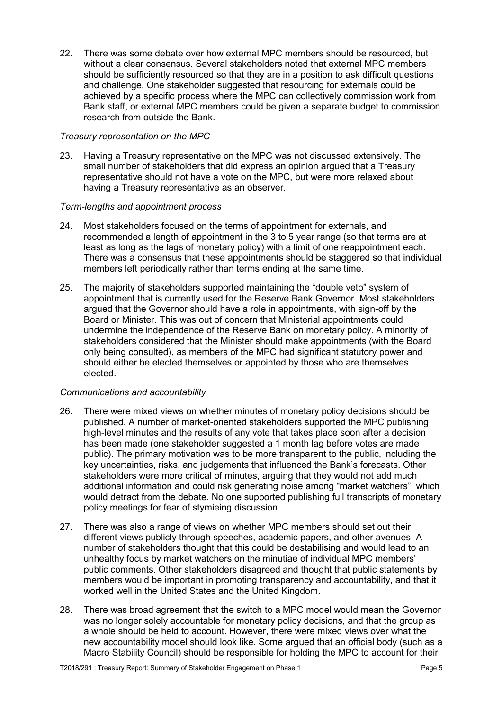22. There was some debate over how external MPC members should be resourced, but without a clear consensus. Several stakeholders noted that external MPC members should be sufficiently resourced so that they are in a position to ask difficult questions and challenge. One stakeholder suggested that resourcing for externals could be achieved by a specific process where the MPC can collectively commission work from Bank staff, or external MPC members could be given a separate budget to commission research from outside the Bank.

#### *Treasury representation on the MPC*

23. Having a Treasury representative on the MPC was not discussed extensively. The small number of stakeholders that did express an opinion argued that a Treasury representative should not have a vote on the MPC, but were more relaxed about having a Treasury representative as an observer.

#### *Term-lengths and appointment process*

- 24. Most stakeholders focused on the terms of appointment for externals, and recommended a length of appointment in the 3 to 5 year range (so that terms are at least as long as the lags of monetary policy) with a limit of one reappointment each. There was a consensus that these appointments should be staggered so that individual members left periodically rather than terms ending at the same time.
- 25. The majority of stakeholders supported maintaining the "double veto" system of appointment that is currently used for the Reserve Bank Governor. Most stakeholders argued that the Governor should have a role in appointments, with sign-off by the Board or Minister. This was out of concern that Ministerial appointments could undermine the independence of the Reserve Bank on monetary policy. A minority of stakeholders considered that the Minister should make appointments (with the Board only being consulted), as members of the MPC had significant statutory power and should either be elected themselves or appointed by those who are themselves elected.

#### *Communications and accountability*

- 26. There were mixed views on whether minutes of monetary policy decisions should be published. A number of market-oriented stakeholders supported the MPC publishing high-level minutes and the results of any vote that takes place soon after a decision has been made (one stakeholder suggested a 1 month lag before votes are made public). The primary motivation was to be more transparent to the public, including the key uncertainties, risks, and judgements that influenced the Bank's forecasts. Other stakeholders were more critical of minutes, arguing that they would not add much additional information and could risk generating noise among "market watchers", which would detract from the debate. No one supported publishing full transcripts of monetary policy meetings for fear of stymieing discussion.
- 27. There was also a range of views on whether MPC members should set out their different views publicly through speeches, academic papers, and other avenues. A number of stakeholders thought that this could be destabilising and would lead to an unhealthy focus by market watchers on the minutiae of individual MPC members' public comments. Other stakeholders disagreed and thought that public statements by members would be important in promoting transparency and accountability, and that it worked well in the United States and the United Kingdom.
- 28. There was broad agreement that the switch to a MPC model would mean the Governor was no longer solely accountable for monetary policy decisions, and that the group as a whole should be held to account. However, there were mixed views over what the new accountability model should look like. Some argued that an official body (such as a Macro Stability Council) should be responsible for holding the MPC to account for their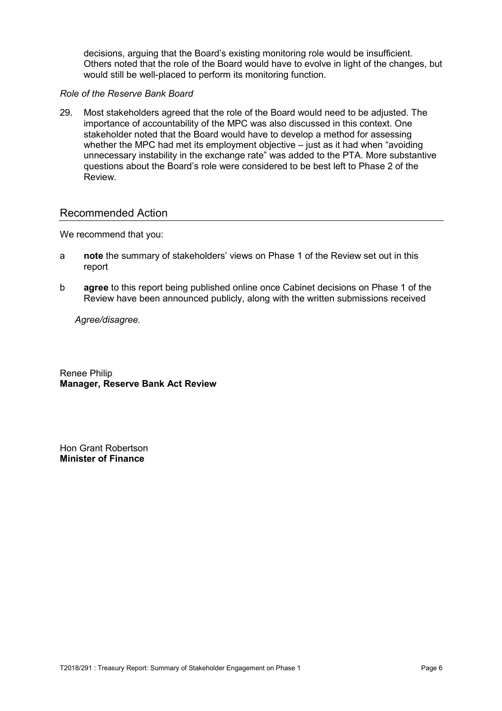decisions, arguing that the Board's existing monitoring role would be insufficient. Others noted that the role of the Board would have to evolve in light of the changes, but would still be well-placed to perform its monitoring function.

#### *Role of the Reserve Bank Board*

29. Most stakeholders agreed that the role of the Board would need to be adjusted. The importance of accountability of the MPC was also discussed in this context. One stakeholder noted that the Board would have to develop a method for assessing whether the MPC had met its employment objective – just as it had when "avoiding unnecessary instability in the exchange rate" was added to the PTA. More substantive questions about the Board's role were considered to be best left to Phase 2 of the Review.

### Recommended Action

We recommend that you:

- a **note** the summary of stakeholders' views on Phase 1 of the Review set out in this report
- b **agree** to this report being published online once Cabinet decisions on Phase 1 of the Review have been announced publicly, along with the written submissions received

 *Agree/disagree.* 

Renee Philip **Manager, Reserve Bank Act Review** 

Hon Grant Robertson **Minister of Finance**